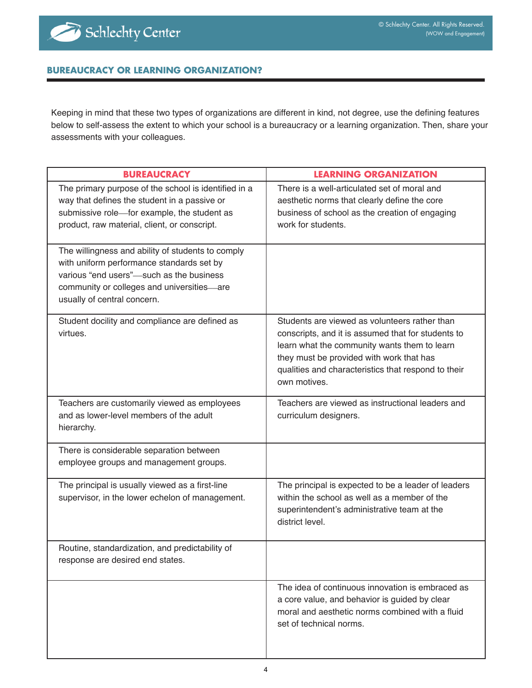## **BUREAUCRACY OR LEARNING ORGANIZATION?**

Keeping in mind that these two types of organizations are different in kind, not degree, use the defining features below to self-assess the extent to which your school is a bureaucracy or a learning organization. Then, share your assessments with your colleagues.

| <b>BUREAUCRACY</b>                                                                                                                                                                                                      | <b>LEARNING ORGANIZATION</b>                                                                                                                                                                                                                                           |
|-------------------------------------------------------------------------------------------------------------------------------------------------------------------------------------------------------------------------|------------------------------------------------------------------------------------------------------------------------------------------------------------------------------------------------------------------------------------------------------------------------|
| The primary purpose of the school is identified in a<br>way that defines the student in a passive or<br>submissive role-for example, the student as<br>product, raw material, client, or conscript.                     | There is a well-articulated set of moral and<br>aesthetic norms that clearly define the core<br>business of school as the creation of engaging<br>work for students.                                                                                                   |
| The willingness and ability of students to comply<br>with uniform performance standards set by<br>various "end users"-such as the business<br>community or colleges and universities-are<br>usually of central concern. |                                                                                                                                                                                                                                                                        |
| Student docility and compliance are defined as<br>virtues.                                                                                                                                                              | Students are viewed as volunteers rather than<br>conscripts, and it is assumed that for students to<br>learn what the community wants them to learn<br>they must be provided with work that has<br>qualities and characteristics that respond to their<br>own motives. |
| Teachers are customarily viewed as employees<br>and as lower-level members of the adult<br>hierarchy.                                                                                                                   | Teachers are viewed as instructional leaders and<br>curriculum designers.                                                                                                                                                                                              |
| There is considerable separation between<br>employee groups and management groups.                                                                                                                                      |                                                                                                                                                                                                                                                                        |
| The principal is usually viewed as a first-line<br>supervisor, in the lower echelon of management.                                                                                                                      | The principal is expected to be a leader of leaders<br>within the school as well as a member of the<br>superintendent's administrative team at the<br>district level.                                                                                                  |
| Routine, standardization, and predictability of<br>response are desired end states.                                                                                                                                     |                                                                                                                                                                                                                                                                        |
|                                                                                                                                                                                                                         | The idea of continuous innovation is embraced as<br>a core value, and behavior is guided by clear<br>moral and aesthetic norms combined with a fluid<br>set of technical norms.                                                                                        |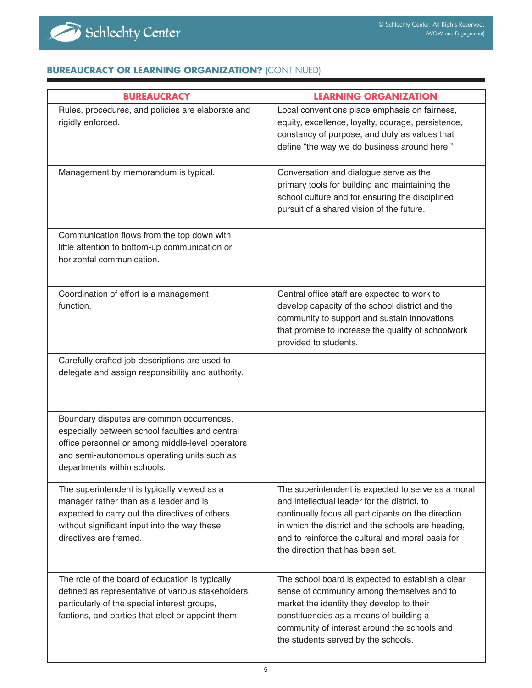

## **BUREAUCRACY OR LEARNING ORGANIZATION?** (CONTINUED)

| <b>BUREAUCRACY</b>                                                                                                                                                                                                             | <b>LEARNING ORGANIZATION</b>                                                                                                                                                                                                                                                                             |
|--------------------------------------------------------------------------------------------------------------------------------------------------------------------------------------------------------------------------------|----------------------------------------------------------------------------------------------------------------------------------------------------------------------------------------------------------------------------------------------------------------------------------------------------------|
| Rules, procedures, and policies are elaborate and<br>rigidly enforced.                                                                                                                                                         | Local conventions place emphasis on fairness,<br>equity, excellence, loyalty, courage, persistence,<br>constancy of purpose, and duty as values that<br>define "the way we do business around here."                                                                                                     |
| Management by memorandum is typical.                                                                                                                                                                                           | Conversation and dialogue serve as the<br>primary tools for building and maintaining the<br>school culture and for ensuring the disciplined<br>pursuit of a shared vision of the future.                                                                                                                 |
| Communication flows from the top down with<br>little attention to bottom-up communication or<br>horizontal communication.                                                                                                      |                                                                                                                                                                                                                                                                                                          |
| Coordination of effort is a management<br>function.                                                                                                                                                                            | Central office staff are expected to work to<br>develop capacity of the school district and the<br>community to support and sustain innovations<br>that promise to increase the quality of schoolwork<br>provided to students.                                                                           |
| Carefully crafted job descriptions are used to<br>delegate and assign responsibility and authority.                                                                                                                            |                                                                                                                                                                                                                                                                                                          |
| Boundary disputes are common occurrences,<br>especially between school faculties and central<br>office personnel or among middle-level operators<br>and semi-autonomous operating units such as<br>departments within schools. |                                                                                                                                                                                                                                                                                                          |
| The superintendent is typically viewed as a<br>manager rather than as a leader and is<br>expected to carry out the directives of others<br>without significant input into the way these<br>directives are framed.              | The superintendent is expected to serve as a moral<br>and intellectual leader for the district, to<br>continually focus all participants on the direction<br>in which the district and the schools are heading,<br>and to reinforce the cultural and moral basis for<br>the direction that has been set. |
| The role of the board of education is typically<br>defined as representative of various stakeholders,<br>particularly of the special interest groups,<br>factions, and parties that elect or appoint them.                     | The school board is expected to establish a clear<br>sense of community among themselves and to<br>market the identity they develop to their<br>constituencies as a means of building a<br>community of interest around the schools and<br>the students served by the schools.                           |